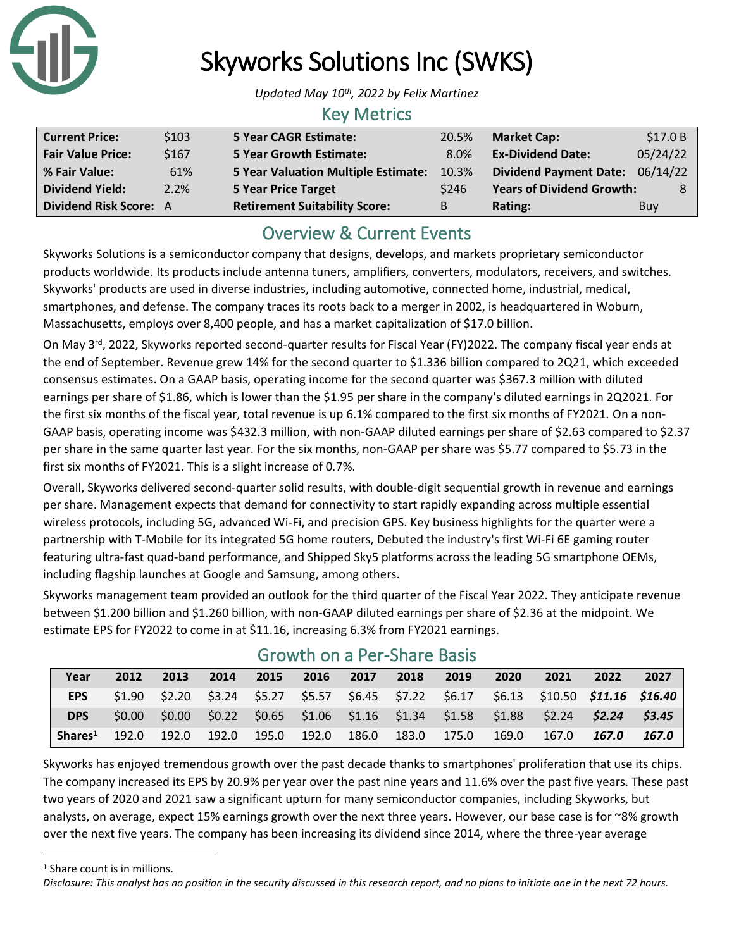

# Skyworks Solutions Inc (SWKS)

*Updated May 10th, 2022 by Felix Martinez*

#### Key Metrics

| <b>Current Price:</b>         | \$103 | <b>5 Year CAGR Estimate:</b>               | 20.5%   | <b>Market Cap:</b>               | \$17.0 B |
|-------------------------------|-------|--------------------------------------------|---------|----------------------------------|----------|
| <b>Fair Value Price:</b>      | \$167 | <b>5 Year Growth Estimate:</b>             | $8.0\%$ | <b>Ex-Dividend Date:</b>         | 05/24/22 |
| % Fair Value:                 | 61%   | <b>5 Year Valuation Multiple Estimate:</b> | 10.3%   | Dividend Payment Date: 06/14/22  |          |
| <b>Dividend Yield:</b>        | 2.2%  | <b>5 Year Price Target</b>                 | \$246   | <b>Years of Dividend Growth:</b> |          |
| <b>Dividend Risk Score: A</b> |       | <b>Retirement Suitability Score:</b>       | B.      | Rating:                          | Buy      |

# Overview & Current Events

Skyworks Solutions is a semiconductor company that designs, develops, and markets proprietary semiconductor products worldwide. Its products include antenna tuners, amplifiers, converters, modulators, receivers, and switches. Skyworks' products are used in diverse industries, including automotive, connected home, industrial, medical, smartphones, and defense. The company traces its roots back to a merger in 2002, is headquartered in Woburn, Massachusetts, employs over 8,400 people, and has a market capitalization of \$17.0 billion.

On May 3<sup>rd</sup>, 2022, Skyworks reported second-quarter results for Fiscal Year (FY)2022. The company fiscal year ends at the end of September. Revenue grew 14% for the second quarter to \$1.336 billion compared to 2Q21, which exceeded consensus estimates. On a GAAP basis, operating income for the second quarter was \$367.3 million with diluted earnings per share of \$1.86, which is lower than the \$1.95 per share in the company's diluted earnings in 2Q2021. For the first six months of the fiscal year, total revenue is up 6.1% compared to the first six months of FY2021. On a non-GAAP basis, operating income was \$432.3 million, with non-GAAP diluted earnings per share of \$2.63 compared to \$2.37 per share in the same quarter last year. For the six months, non-GAAP per share was \$5.77 compared to \$5.73 in the first six months of FY2021. This is a slight increase of 0.7%.

Overall, Skyworks delivered second-quarter solid results, with double-digit sequential growth in revenue and earnings per share. Management expects that demand for connectivity to start rapidly expanding across multiple essential wireless protocols, including 5G, advanced Wi-Fi, and precision GPS. Key business highlights for the quarter were a partnership with T-Mobile for its integrated 5G home routers, Debuted the industry's first Wi-Fi 6E gaming router featuring ultra-fast quad-band performance, and Shipped Sky5 platforms across the leading 5G smartphone OEMs, including flagship launches at Google and Samsung, among others.

Skyworks management team provided an outlook for the third quarter of the Fiscal Year 2022. They anticipate revenue between \$1.200 billion and \$1.260 billion, with non-GAAP diluted earnings per share of \$2.36 at the midpoint. We estimate EPS for FY2022 to come in at \$11.16, increasing 6.3% from FY2021 earnings.

| Year                | 2012 | 2013 |  | 2014 2015 2016 2017 2018 |  | 2019 | 2020 | 2021                                                                                               | 2022 | 2027  |
|---------------------|------|------|--|--------------------------|--|------|------|----------------------------------------------------------------------------------------------------|------|-------|
| EPS                 |      |      |  |                          |  |      |      | $$1.90$ $$2.20$ $$3.24$ $$5.27$ $$5.57$ $$6.45$ $$7.22$ $$6.17$ $$6.13$ $$10.50$ $$11.16$ $$16.40$ |      |       |
| <b>DPS</b>          |      |      |  |                          |  |      |      | $$0.00$ $$0.00$ $$0.22$ $$0.65$ $$1.06$ $$1.16$ $$1.34$ $$1.58$ $$1.88$ $$2.24$ $$2.24$ $$3.45$    |      |       |
| Shares <sup>1</sup> |      |      |  |                          |  |      |      | 192.0 192.0 192.0 195.0 192.0 186.0 183.0 175.0 169.0 167.0 <b>167.0</b>                           |      | 167.0 |

### Growth on a Per-Share Basis

Skyworks has enjoyed tremendous growth over the past decade thanks to smartphones' proliferation that use its chips. The company increased its EPS by 20.9% per year over the past nine years and 11.6% over the past five years. These past two years of 2020 and 2021 saw a significant upturn for many semiconductor companies, including Skyworks, but analysts, on average, expect 15% earnings growth over the next three years. However, our base case is for ~8% growth over the next five years. The company has been increasing its dividend since 2014, where the three-year average

<sup>1</sup> Share count is in millions.

*Disclosure: This analyst has no position in the security discussed in this research report, and no plans to initiate one in the next 72 hours.*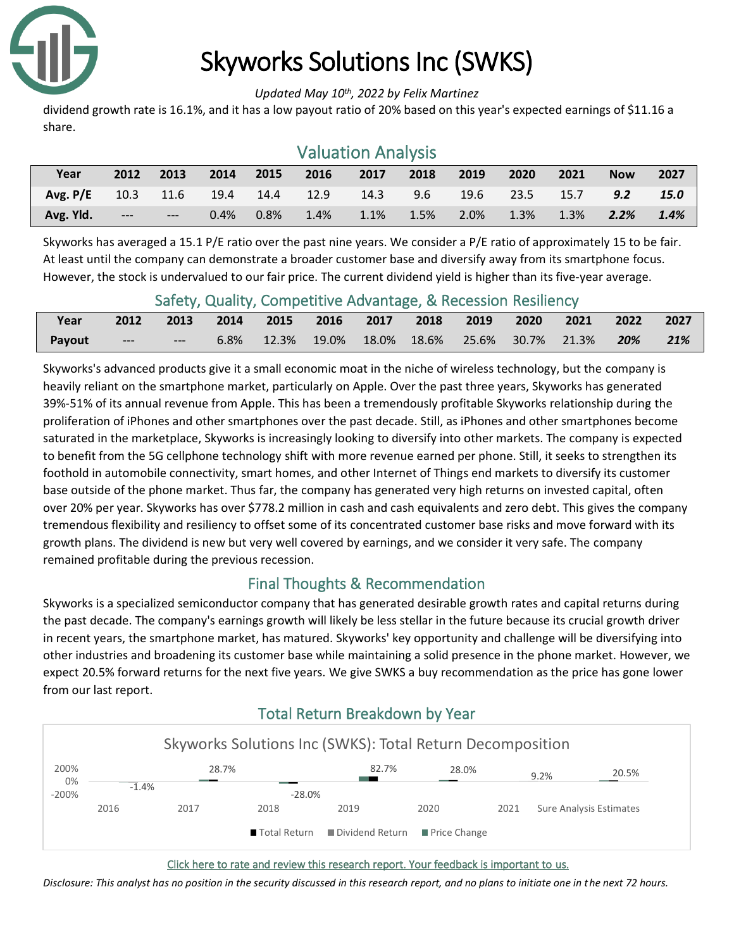

# Skyworks Solutions Inc (SWKS)

#### *Updated May 10th, 2022 by Felix Martinez*

dividend growth rate is 16.1%, and it has a low payout ratio of 20% based on this year's expected earnings of \$11.16 a share.

| <b>Valuation Analysis</b> |           |       |      |      |      |      |      |      |      |      |               |             |
|---------------------------|-----------|-------|------|------|------|------|------|------|------|------|---------------|-------------|
| Year                      | 2012      | 2013  | 2014 | 2015 | 2016 | 2017 | 2018 | 2019 | 2020 | 2021 | <b>Now</b>    | 2027        |
| Avg. $P/E$                | 10.3 11.6 |       | 19.4 | 14.4 | 12.9 | 14.3 | 9.6  | 19.6 | 23.5 | 15.7 | $9.2^{\circ}$ | <b>15.0</b> |
| Avg. Yld.                 | $---$     | $---$ | 0.4% | 0.8% | 1.4% | 1.1% | 1.5% | 2.0% | 1.3% | 1.3% | 2.2%          | 1.4%        |

#### Skyworks has averaged a 15.1 P/E ratio over the past nine years. We consider a P/E ratio of approximately 15 to be fair. At least until the company can demonstrate a broader customer base and diversify away from its smartphone focus. However, the stock is undervalued to our fair price. The current dividend yield is higher than its five-year average.

|        |       | Safety, Quality, Competitive Advantage, & Recession Resiliency |  |  |  |                                                                               |                    |      |
|--------|-------|----------------------------------------------------------------|--|--|--|-------------------------------------------------------------------------------|--------------------|------|
| Year   |       | 2012 2013 2014 2015 2016 2017 2018 2019 2020 2021              |  |  |  |                                                                               | $\sim$ 2022 $\sim$ | 2027 |
| Payout | $---$ | ----                                                           |  |  |  | $6.8\%$ $12.3\%$ $19.0\%$ $18.0\%$ $18.6\%$ $25.6\%$ $30.7\%$ $21.3\%$ $20\%$ |                    | 21%  |

#### Safety, Quality, Competitive Advantage, & Recession Resiliency

Skyworks's advanced products give it a small economic moat in the niche of wireless technology, but the company is heavily reliant on the smartphone market, particularly on Apple. Over the past three years, Skyworks has generated 39%-51% of its annual revenue from Apple. This has been a tremendously profitable Skyworks relationship during the proliferation of iPhones and other smartphones over the past decade. Still, as iPhones and other smartphones become saturated in the marketplace, Skyworks is increasingly looking to diversify into other markets. The company is expected to benefit from the 5G cellphone technology shift with more revenue earned per phone. Still, it seeks to strengthen its foothold in automobile connectivity, smart homes, and other Internet of Things end markets to diversify its customer base outside of the phone market. Thus far, the company has generated very high returns on invested capital, often over 20% per year. Skyworks has over \$778.2 million in cash and cash equivalents and zero debt. This gives the company tremendous flexibility and resiliency to offset some of its concentrated customer base risks and move forward with its growth plans. The dividend is new but very well covered by earnings, and we consider it very safe. The company remained profitable during the previous recession.

### Final Thoughts & Recommendation

Skyworks is a specialized semiconductor company that has generated desirable growth rates and capital returns during the past decade. The company's earnings growth will likely be less stellar in the future because its crucial growth driver in recent years, the smartphone market, has matured. Skyworks' key opportunity and challenge will be diversifying into other industries and broadening its customer base while maintaining a solid presence in the phone market. However, we expect 20.5% forward returns for the next five years. We give SWKS a buy recommendation as the price has gone lower from our last report.

## Total Return Breakdown by Year



 [Click here to rate and review this research report. Your feedback is important to us.](https://suredividend.typeform.com/to/NqXmiI)

*Disclosure: This analyst has no position in the security discussed in this research report, and no plans to initiate one in the next 72 hours.*